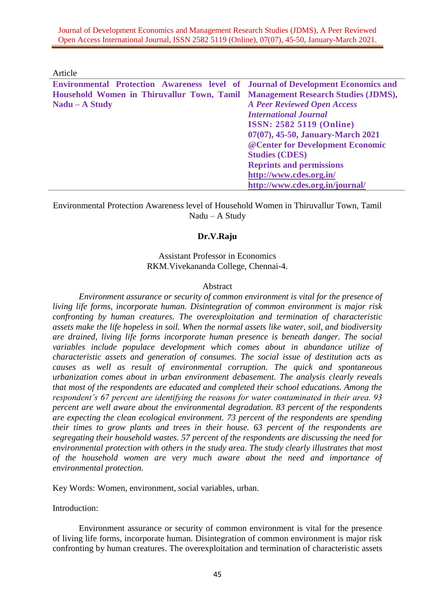Article

| <b>Environmental Protection Awareness level of Journal of Development Economics and</b> |                                    |
|-----------------------------------------------------------------------------------------|------------------------------------|
| Household Women in Thiruvallur Town, Tamil Management Research Studies (JDMS),          |                                    |
| $Nadu - A Study$                                                                        | <b>A Peer Reviewed Open Access</b> |
|                                                                                         | <b>International Journal</b>       |
|                                                                                         | <b>ISSN: 2582 5119 (Online)</b>    |
|                                                                                         | 07(07), 45-50, January-March 2021  |
|                                                                                         | @ Center for Development Economic  |
|                                                                                         | <b>Studies (CDES)</b>              |
|                                                                                         | <b>Reprints and permissions</b>    |
|                                                                                         | http://www.cdes.org.in/            |
|                                                                                         | http://www.cdes.org.in/journal/    |
|                                                                                         |                                    |

Environmental Protection Awareness level of Household Women in Thiruvallur Town, Tamil Nadu – A Study

# **Dr.V.Raju**

# Assistant Professor in Economics RKM.Vivekananda College, Chennai-4.

### Abstract

*Environment assurance or security of common environment is vital for the presence of living life forms, incorporate human. Disintegration of common environment is major risk confronting by human creatures. The overexploitation and termination of characteristic assets make the life hopeless in soil. When the normal assets like water, soil, and biodiversity are drained, living life forms incorporate human presence is beneath danger. The social variables include populace development which comes about in abundance utilize of characteristic assets and generation of consumes. The social issue of destitution acts as causes as well as result of environmental corruption. The quick and spontaneous urbanization comes about in urban environment debasement. The analysis clearly reveals that most of the respondents are educated and completed their school educations. Among the respondent's 67 percent are identifying the reasons for water contaminated in their area. 93 percent are well aware about the environmental degradation. 83 percent of the respondents are expecting the clean ecological environment. 73 percent of the respondents are spending their times to grow plants and trees in their house. 63 percent of the respondents are segregating their household wastes. 57 percent of the respondents are discussing the need for environmental protection with others in the study area. The study clearly illustrates that most of the household women are very much aware about the need and importance of environmental protection.* 

Key Words: Women, environment, social variables, urban.

Introduction:

Environment assurance or security of common environment is vital for the presence of living life forms, incorporate human. Disintegration of common environment is major risk confronting by human creatures. The overexploitation and termination of characteristic assets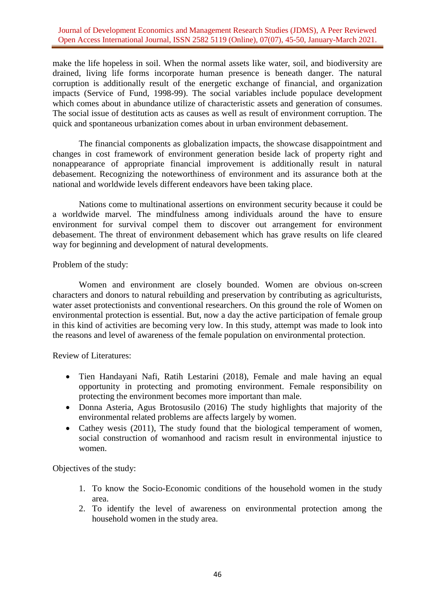make the life hopeless in soil. When the normal assets like water, soil, and biodiversity are drained, living life forms incorporate human presence is beneath danger. The natural corruption is additionally result of the energetic exchange of financial, and organization impacts (Service of Fund, 1998-99). The social variables include populace development which comes about in abundance utilize of characteristic assets and generation of consumes. The social issue of destitution acts as causes as well as result of environment corruption. The quick and spontaneous urbanization comes about in urban environment debasement.

The financial components as globalization impacts, the showcase disappointment and changes in cost framework of environment generation beside lack of property right and nonappearance of appropriate financial improvement is additionally result in natural debasement. Recognizing the noteworthiness of environment and its assurance both at the national and worldwide levels different endeavors have been taking place.

Nations come to multinational assertions on environment security because it could be a worldwide marvel. The mindfulness among individuals around the have to ensure environment for survival compel them to discover out arrangement for environment debasement. The threat of environment debasement which has grave results on life cleared way for beginning and development of natural developments.

Problem of the study:

Women and environment are closely bounded. Women are obvious on-screen characters and donors to natural rebuilding and preservation by contributing as agriculturists, water asset protectionists and conventional researchers. On this ground the role of Women on environmental protection is essential. But, now a day the active participation of female group in this kind of activities are becoming very low. In this study, attempt was made to look into the reasons and level of awareness of the female population on environmental protection.

Review of Literatures:

- Tien Handayani Nafi, Ratih Lestarini (2018), Female and male having an equal opportunity in protecting and promoting environment. Female responsibility on protecting the environment becomes more important than male.
- Donna Asteria, Agus Brotosusilo (2016) The study highlights that majority of the environmental related problems are affects largely by women.
- Cathey wesis (2011), The study found that the biological temperament of women, social construction of womanhood and racism result in environmental injustice to women.

Objectives of the study:

- 1. To know the Socio-Economic conditions of the household women in the study area.
- 2. To identify the level of awareness on environmental protection among the household women in the study area.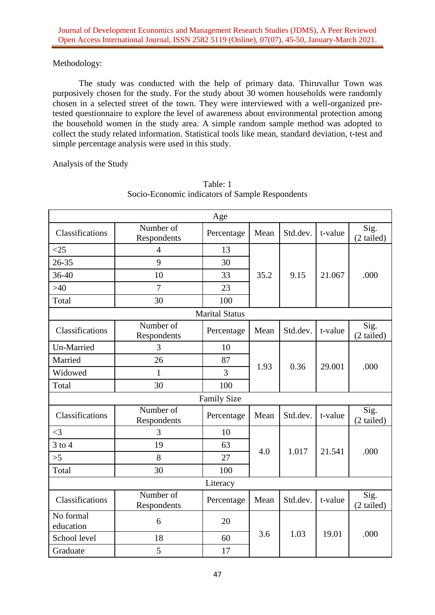# Methodology:

The study was conducted with the help of primary data. Thiruvallur Town was purposively chosen for the study. For the study about 30 women households were randomly chosen in a selected street of the town. They were interviewed with a well-organized pretested questionnaire to explore the level of awareness about environmental protection among the household women in the study area. A simple random sample method was adopted to collect the study related information. Statistical tools like mean, standard deviation, t-test and simple percentage analysis were used in this study.

Analysis of the Study

| Age                    |                          |                       |      |          |         |                    |
|------------------------|--------------------------|-----------------------|------|----------|---------|--------------------|
| Classifications        | Number of<br>Respondents | Mean<br>Percentage    |      | Std.dev. | t-value | Sig.<br>(2 tailed) |
| $<$ 25                 | $\overline{4}$           | 13                    |      | 9.15     | 21.067  |                    |
| $26 - 35$              | 9                        | 30                    |      |          |         | .000               |
| 36-40                  | 10                       | 33                    | 35.2 |          |         |                    |
| >40                    | 7                        | 23                    |      |          |         |                    |
| Total                  | 30                       | 100                   |      |          |         |                    |
|                        |                          | <b>Marital Status</b> |      |          |         |                    |
| Classifications        | Number of<br>Respondents | Percentage            | Mean | Std.dev. | t-value | Sig.<br>(2 tailed) |
| <b>Un-Married</b>      | 3                        | 10                    |      | 0.36     | 29.001  | .000               |
| Married                | 26                       | 87                    | 1.93 |          |         |                    |
| Widowed                | 1                        | 3                     |      |          |         |                    |
| Total                  | 30                       | 100                   |      |          |         |                    |
| <b>Family Size</b>     |                          |                       |      |          |         |                    |
| Classifications        | Number of<br>Respondents | Percentage            | Mean | Std.dev. | t-value | Sig.<br>(2 tailed) |
| $\leq$ 3               | 3                        | 10                    |      | 1.017    | 21.541  |                    |
| $3$ to $4$             | 19                       | 63                    | 4.0  |          |         | .000               |
| >5                     | 8                        | 27                    |      |          |         |                    |
| Total                  | 30                       | 100                   |      |          |         |                    |
| Literacy               |                          |                       |      |          |         |                    |
| Classifications        | Number of<br>Respondents | Percentage            | Mean | Std.dev. | t-value | Sig.<br>(2 tailed) |
| No formal<br>education | 6                        | 20                    |      | 1.03     | 19.01   |                    |
| School level           | 18                       | 60                    | 3.6  |          |         | .000               |
| Graduate               | 5                        | 17                    |      |          |         |                    |

# Table: 1 Socio-Economic indicators of Sample Respondents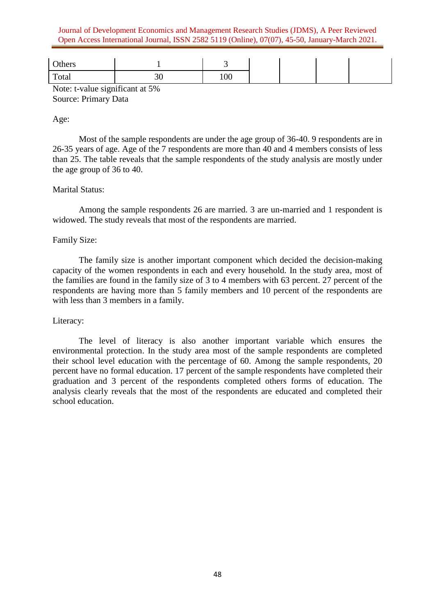Journal of Development Economics and Management Research Studies (JDMS), A Peer Reviewed Open Access International Journal, ISSN 2582 5119 (Online), 07(07), 45-50, January-March 2021.

| Others |    | . .               |
|--------|----|-------------------|
| Total  | υU | $\Omega$<br>1 V V |

Note: t-value significant at 5% Source: Primary Data

### Age:

Most of the sample respondents are under the age group of 36-40. 9 respondents are in 26-35 years of age. Age of the 7 respondents are more than 40 and 4 members consists of less than 25. The table reveals that the sample respondents of the study analysis are mostly under the age group of 36 to 40.

# Marital Status:

Among the sample respondents 26 are married. 3 are un-married and 1 respondent is widowed. The study reveals that most of the respondents are married.

### Family Size:

The family size is another important component which decided the decision-making capacity of the women respondents in each and every household. In the study area, most of the families are found in the family size of 3 to 4 members with 63 percent. 27 percent of the respondents are having more than 5 family members and 10 percent of the respondents are with less than 3 members in a family.

#### Literacy:

The level of literacy is also another important variable which ensures the environmental protection. In the study area most of the sample respondents are completed their school level education with the percentage of 60. Among the sample respondents, 20 percent have no formal education. 17 percent of the sample respondents have completed their graduation and 3 percent of the respondents completed others forms of education. The analysis clearly reveals that the most of the respondents are educated and completed their school education.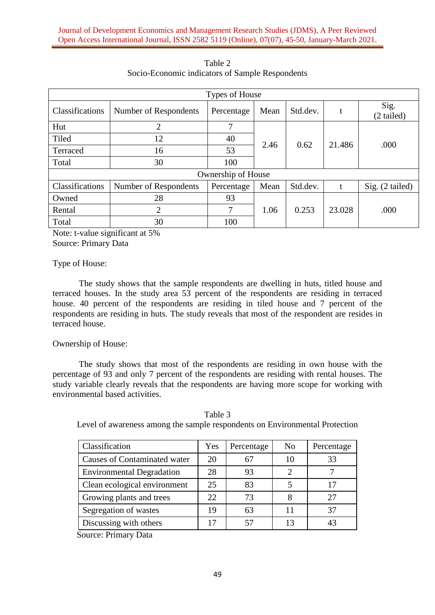| Types of House     |                       |            |      |          |        |                    |
|--------------------|-----------------------|------------|------|----------|--------|--------------------|
| Classifications    | Number of Respondents | Percentage | Mean | Std.dev. | t      | Sig.<br>(2 tailed) |
| Hut                | $\overline{2}$        | 7          | 2.46 | 0.62     | 21.486 | .000               |
| Tiled              | 12                    | 40         |      |          |        |                    |
| Terraced           | 16                    | 53         |      |          |        |                    |
| Total              | 30                    | 100        |      |          |        |                    |
| Ownership of House |                       |            |      |          |        |                    |
| Classifications    | Number of Respondents | Percentage | Mean | Std.dev. | t      | $Sig. (2-tailed)$  |
| Owned              | 28                    | 93         | 1.06 | 0.253    | 23.028 | .000               |
| Rental             | $\overline{2}$        | 7          |      |          |        |                    |
| Total              | 30                    | 100        |      |          |        |                    |

Table 2 Socio-Economic indicators of Sample Respondents

Note: t-value significant at 5% Source: Primary Data

Type of House:

The study shows that the sample respondents are dwelling in huts, titled house and terraced houses. In the study area 53 percent of the respondents are residing in terraced house. 40 percent of the respondents are residing in tiled house and 7 percent of the respondents are residing in huts. The study reveals that most of the respondent are resides in terraced house.

Ownership of House:

The study shows that most of the respondents are residing in own house with the percentage of 93 and only 7 percent of the respondents are residing with rental houses. The study variable clearly reveals that the respondents are having more scope for working with environmental based activities.

| Classification                   | Yes | Percentage | N <sub>0</sub> | Percentage |
|----------------------------------|-----|------------|----------------|------------|
| Causes of Contaminated water     | 20  | 67         | 10             | 33         |
| <b>Environmental Degradation</b> | 28  | 93         |                |            |
| Clean ecological environment     | 25  | 83         |                | 17         |
| Growing plants and trees         | 22. | 73         |                | 27         |
| Segregation of wastes            | 19  | 63         | 11             | 37         |
| Discussing with others           | 17  | 57         | 13             | 43         |

Table 3 Level of awareness among the sample respondents on Environmental Protection

Source: Primary Data